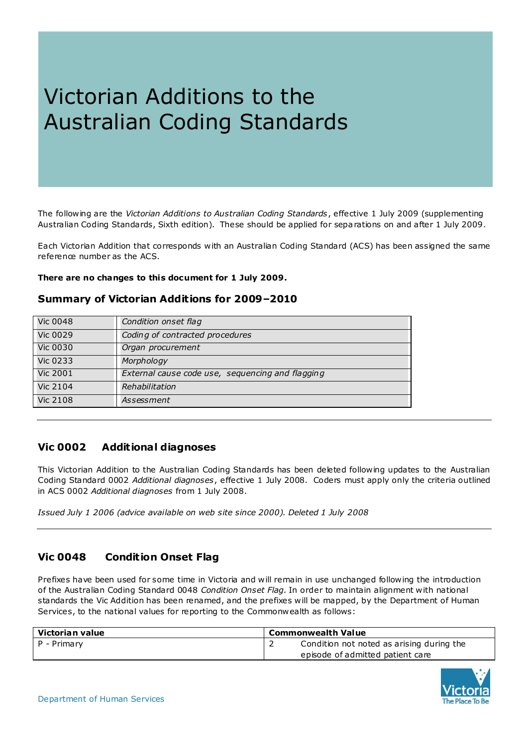# Victorian Additions to the Australian Coding Standards

The following are the *Victorian Additions to Australian Coding Standards*, effective 1 July 2009 (supplementing Australian Coding Standards, Sixth edition). These should be applied for separations on and after 1 July 2009.

Each Victorian Addition that corresponds with an Australian Coding Standard (ACS) has been assigned the same reference number as the ACS.

**There are no changes to this document for 1 July 2009.** 

# **Summary of Victorian Additions for 2009–2010**

| <b>Vic 0048</b> | Condition onset flag                             |
|-----------------|--------------------------------------------------|
| <b>Vic 0029</b> | Coding of contracted procedures                  |
| <b>Vic 0030</b> | Organ procurement                                |
| <b>Vic 0233</b> | Morphology                                       |
| <b>Vic 2001</b> | External cause code use, sequencing and flagging |
| <b>Vic 2104</b> | Rehabilitation                                   |
| <b>Vic 2108</b> | Assessment                                       |

# **Vic 0002 Additional diagnoses**

This Victorian Addition to the Australian Coding Standards has been deleted following updates to the Australian Coding Standard 0002 *Additional diagnoses*, effective 1 July 2008. Coders must apply only the criteria outlined in ACS 0002 *Additional diagnoses* from 1 July 2008.

*Issued July 1 2006 (advice available on web site since 2000). Deleted 1 July 2008*

# **Vic 0048 Condition Onset Flag**

Prefixes have been used for some time in Victoria and will remain in use unchanged following the introduction of the Australian Coding Standard 0048 *Condition Onset Flag*. In order to maintain alignment with national standards the Vic Addition has been renamed, and the prefixes will be mapped, by the Department of Human Services, to the national values for reporting to the Commonwealth as follows:

| Victorian value | ' Commonwealth Value                      |  |
|-----------------|-------------------------------------------|--|
| P - Primary     | Condition not noted as arising during the |  |
|                 | episode of admitted patient care          |  |

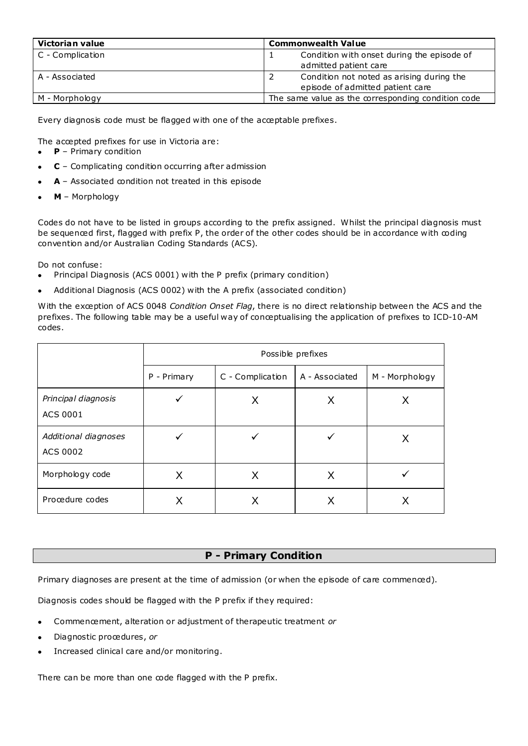| Victorian value  | <b>Commonwealth Value</b>                                           |  |
|------------------|---------------------------------------------------------------------|--|
| C - Complication | Condition with onset during the episode of<br>admitted patient care |  |
|                  |                                                                     |  |
| A - Associated   | Condition not noted as arising during the                           |  |
|                  | episode of admitted patient care                                    |  |
| M - Morphology   | The same value as the corresponding condition code                  |  |

Every diagnosis code must be flagged with one of the acceptable prefixes.

The accepted prefixes for use in Victoria are:

- **P** Primary condition
- **C** Complicating condition occurring after admission
- **A** Associated condition not treated in this episode
- **M** Morphology

Codes do not have to be listed in groups according to the prefix assigned. Whilst the principal diagnosis must be sequenced first, flagged with prefix P, the order of the other codes should be in accordance with coding convention and/or Australian Coding Standards (ACS).

Do not confuse:

- Principal Diagnosis (ACS 0001) with the P prefix (primary condition)  $\bullet$
- Additional Diagnosis (ACS 0002) with the A prefix (associated condition)

With the exception of ACS 0048 *Condition Onset Flag*, there is no direct relationship between the ACS and the prefixes. The following table may be a useful way of conceptualising the application of prefixes to ICD-10-AM codes.

|                                  | Possible prefixes |                  |                |                |
|----------------------------------|-------------------|------------------|----------------|----------------|
|                                  | P - Primary       | C - Complication | A - Associated | M - Morphology |
| Principal diagnosis<br>ACS 0001  |                   | X                | X              | Х              |
| Additional diagnoses<br>ACS 0002 |                   |                  |                | х              |
| Morphology code                  | X                 | X                | X              |                |
| Procedure codes                  |                   |                  |                |                |

## **P - Primary Condition**

Primary diagnoses are present at the time of admission (or when the episode of care commenced).

Diagnosis codes should be flagged with the P prefix if they required:

- Commencement, alteration or adjustment of therapeutic treatment *or*
- Diagnostic procedures, *or*
- Increased clinical care and/or monitoring.  $\bullet$

There can be more than one code flagged with the P prefix.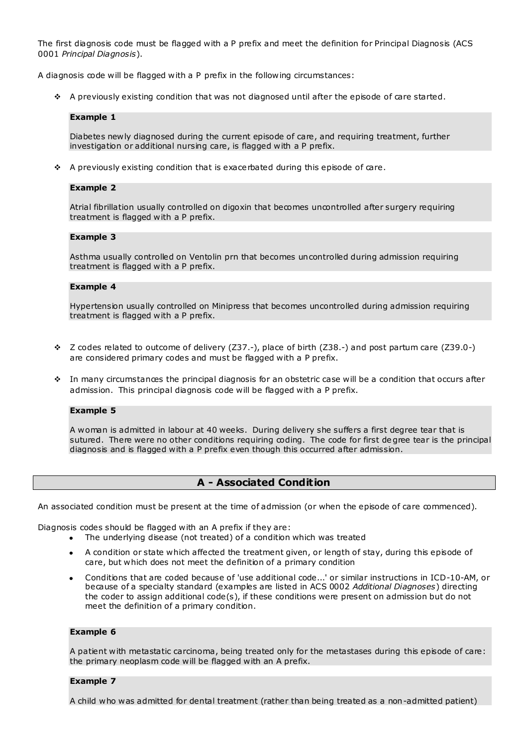The first diagnosis code must be flagged with a P prefix and meet the definition for Principal Diagnosis (ACS 0001 *Principal Diagnosis*).

A diagnosis code will be flagged with a P prefix in the following circumstances:

 $\div$  A previously existing condition that was not diagnosed until after the episode of care started.

#### **Example 1**

Diabetes newly diagnosed during the current episode of care, and requiring treatment, further investigation or additional nursing care, is flagged with a P prefix.

 $\div$  A previously existing condition that is exacerbated during this episode of care.

#### **Example 2**

Atrial fibrillation usually controlled on digoxin that becomes uncontrolled after surgery requiring treatment is flagged with a P prefix.

#### **Example 3**

Asthma usually controlled on Ventolin prn that becomes uncontrolled during admission requiring treatment is flagged with a P prefix.

#### **Example 4**

Hypertension usually controlled on Minipress that becomes uncontrolled during admission requiring treatment is flagged with a P prefix.

- $\div$  Z codes related to outcome of delivery (Z37.-), place of birth (Z38.-) and post partum care (Z39.0-) are considered primary codes and must be flagged with a P prefix.
- In many circumstances the principal diagnosis for an obstetric case will be a condition that occurs after admission. This principal diagnosis code will be flagged with a P prefix.

#### **Example 5**

A woman is admitted in labour at 40 weeks. During delivery she suffers a first degree tear that is sutured. There were no other conditions requiring coding. The code for first degree tear is the principal diagnosis and is flagged with a P prefix even though this occurred after admission.

## **A - Associated Condition**

An associated condition must be present at the time of admission (or when the episode of care commenced).

Diagnosis codes should be flagged with an A prefix if they are:

- The underlying disease (not treated) of a condition which was treated  $\bullet$ 
	- A condition or state which affected the treatment given, or length of stay, during this episode of  $\bullet$ care, but which does not meet the definition of a primary condition
	- Conditions that are coded because of 'use additional code...' or similar instructions in ICD-10-AM, or because of a specialty standard (examples are listed in ACS 0002 *Additional Diagnoses*) directing the coder to assign additional code(s), if these conditions were present on admission but do not meet the definition of a primary condition.

#### **Example 6**

A patient with metastatic carcinoma, being treated only for the metastases during this episode of care: the primary neoplasm code will be flagged with an A prefix.

#### **Example 7**

A child who was admitted for dental treatment (rather than being treated as a non-admitted patient)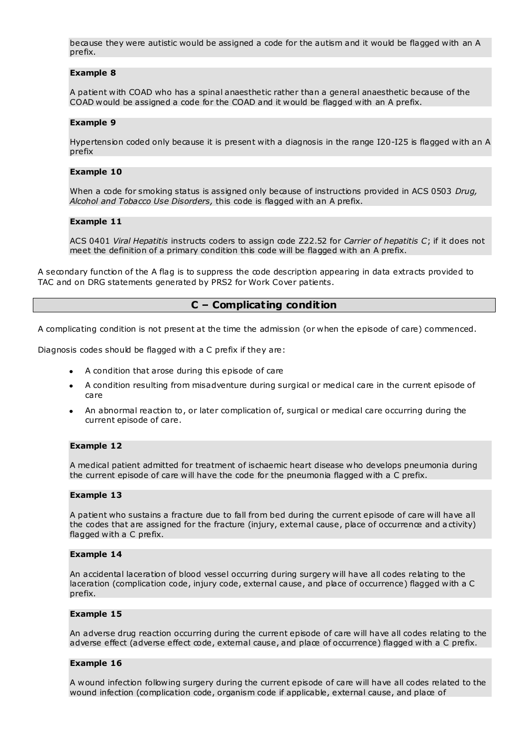because they were autistic would be assigned a code for the autism and it would be flagged with an A prefix.

#### **Example 8**

A patient with COAD who has a spinal anaesthetic rather than a general anaesthetic because of the COAD would be assigned a code for the COAD and it would be flagged with an A prefix.

#### **Example 9**

Hypertension coded only because it is present with a diagnosis in the range I20-I25 is flagged with an A prefix

#### **Example 10**

When a code for smoking status is assigned only because of instructions provided in ACS 0503 *Drug, Alcohol and Tobacco Use Disorders,* this code is flagged with an A prefix.

#### **Example 11**

ACS 0401 *Viral Hepatitis* instructs coders to assign code Z22.52 for *Carrier of hepatitis C*; if it does not meet the definition of a primary condition this code will be flagged with an A prefix.

A secondary function of the A flag is to suppress the code description appearing in data extracts provided to TAC and on DRG statements generated by PRS2 for Work Cover patients.

#### **C – Complicating condition**

A complicating condition is not present at the time the admission (or when the episode of care) commenced.

Diagnosis codes should be flagged with a C prefix if they are:

- A condition that arose during this episode of care
- A condition resulting from misadventure during surgical or medical care in the current episode of care
- An abnormal reaction to, or later complication of, surgical or medical care occurring during the current episode of care.

#### **Example 12**

A medical patient admitted for treatment of ischaemic heart disease who develops pneumonia during the current episode of care will have the code for the pneumonia flagged with a C prefix.

#### **Example 13**

A patient who sustains a fracture due to fall from bed during the current episode of care will have all the codes that are assigned for the fracture (injury, external cause, place of occurrence and a ctivity) flagged with a C prefix.

#### **Example 14**

An accidental laceration of blood vessel occurring during surgery will have all codes relating to the laceration (complication code, injury code, external cause, and place of occurrence) flagged with a C prefix.

#### **Example 15**

An adverse drug reaction occurring during the current episode of care will have all codes relating to the adverse effect (adverse effect code, external cause, and place of occurrence) flagged with a C prefix.

#### **Example 16**

A wound infection following surgery during the current episode of care will have all codes related to the wound infection (complication code, organism code if applicable, external cause, and place of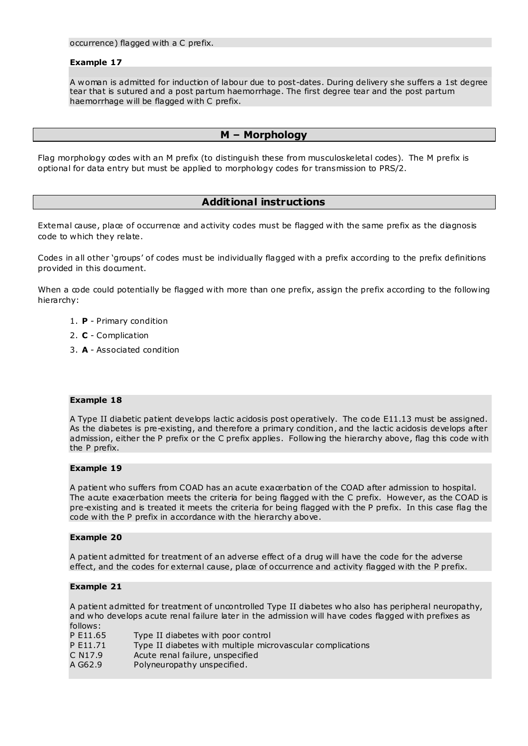occurrence) flagged with a C prefix.

#### **Example 17**

A woman is admitted for induction of labour due to post-dates. During delivery she suffers a 1st degree tear that is sutured and a post partum haemorrhage. The first degree tear and the post partum haemorrhage will be flagged with C prefix.

## **M – Morphology**

Flag morphology codes with an M prefix (to distinguish these from musculoskeletal codes). The M prefix is optional for data entry but must be applied to morphology codes for transmission to PRS/2.

### **Additional instructions**

External cause, place of occurrence and activity codes must be flagged with the same prefix as the diagnosis code to which they relate.

Codes in all other 'groups' of codes must be individually flagged with a prefix according to the prefix definitions provided in this document.

When a code could potentially be flagged with more than one prefix, assign the prefix according to the following hierarchy:

- 1. **P** Primary condition
- 2. **C** Complication
- 3. **A** Associated condition

#### **Example 18**

A Type II diabetic patient develops lactic acidosis post operatively. The code E11.13 must be assigned. As the diabetes is pre-existing, and therefore a primary condition, and the lactic acidosis develops after admission, either the P prefix or the C prefix applies. Following the hierarchy above, flag this code with the P prefix.

#### **Example 19**

A patient who suffers from COAD has an acute exacerbation of the COAD after admission to hospital. The acute exacerbation meets the criteria for being flagged with the C prefix. However, as the COAD is pre-existing and is treated it meets the criteria for being flagged with the P prefix. In this case flag the code with the P prefix in accordance with the hierarchy above.

#### **Example 20**

A patient admitted for treatment of an adverse effect of a drug will have the code for the adverse effect, and the codes for external cause, place of occurrence and activity flagged with the P prefix.

#### **Example 21**

A patient admitted for treatment of uncontrolled Type II diabetes who also has peripheral neuropathy, and who develops acute renal failure later in the admission will have codes flagged with prefixes as follows:

| .                   |                                                            |
|---------------------|------------------------------------------------------------|
| P E11.65            | Type II diabetes with poor control                         |
| P E11.71            | Type II diabetes with multiple microvascular complications |
| C N <sub>17.9</sub> | Acute renal failure, unspecified                           |
| A G62.9             | Polyneuropathy unspecified.                                |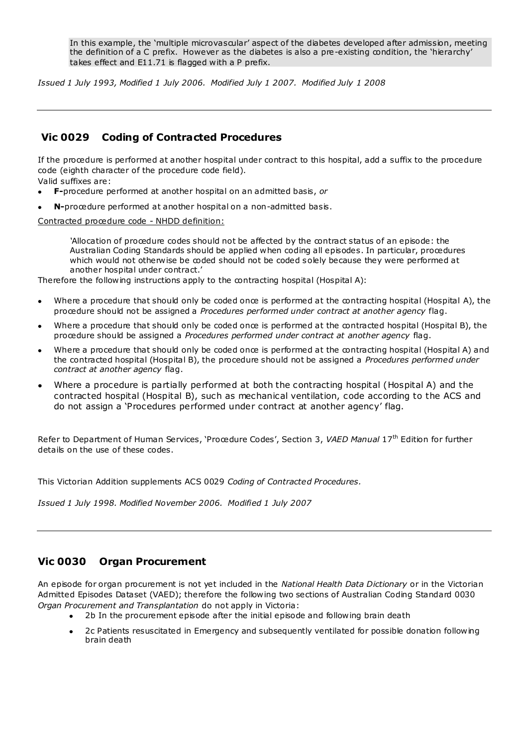In this example, the 'multiple microvascular' aspect of the diabetes developed after admission, meeting the definition of a C prefix. However as the diabetes is also a pre-existing condition, the 'hierarchy' takes effect and E11.71 is flagged with a P prefix.

*Issued 1 July 1993, Modified 1 July 2006. Modified July 1 2007. Modified July 1 2008*

# <span id="page-5-0"></span>**Vic 0029 Coding of Contracted Procedures**

If the procedure is performed at another hospital under contract to this hospital, add a suffix to the procedure code (eighth character of the procedure code field).

Valid suffixes are:

- **F-**procedure performed at another hospital on an admitted basis, *or*
- **N-**procedure performed at another hospital on a non-admitted basis.

Contracted procedure code - NHDD definition:

*'*Allocation of procedure codes should not be affected by the contract status of an episode: the Australian Coding Standards should be applied when coding all episodes. In particular, procedures which would not otherwise be coded should not be coded solely because they were performed at another hospital under contract.'

Therefore the following instructions apply to the contracting hospital (Hospital A):

- Where a procedure that should only be coded once is performed at the contracting hospital (Hospital A), the  $\bullet$ procedure should not be assigned a *Procedures performed under contract at another agency* flag.
- Where a procedure that should only be coded once is performed at the contracted hospital (Hospital B), the procedure should be assigned a *Procedures performed under contract at another agency* flag.
- Where a procedure that should only be coded once is performed at the contracting hospital (Hospital A) and the contracted hospital (Hospital B), the procedure should not be assigned a *Procedures performed under contract at another agency* flag.
- Where a procedure is partially performed at both the contracting hospital (Hospital A) and the contracted hospital (Hospital B), such as mechanical ventilation, code according to the ACS and do not assign a 'Procedures performed under contract at another agency' flag.

Refer to Department of Human Services, 'Procedure Codes', Section 3, *VAED Manual* 17th Edition for further details on the use of these codes.

This Victorian Addition supplements ACS 0029 *Coding of Contracted Procedures.*

*Issued 1 July 1998. Modified November 2006. Modified 1 July 2007*

# <span id="page-5-1"></span>**Vic 0030 Organ Procurement**

An episode for organ procurement is not yet included in the *National Health Data Dictionary* or in the Victorian Admitted Episodes Dataset (VAED); therefore the following two sections of Australian Coding Standard 0030 *Organ Procurement and Transplantation* do not apply in Victoria:

- 2b In the procurement episode after the initial episode and following brain death
- 2c Patients resuscitated in Emergency and subsequently ventilated for possible donation following brain death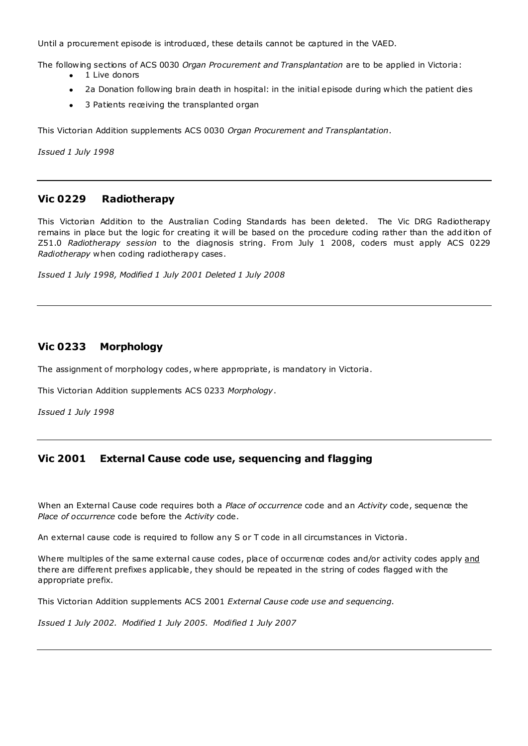Until a procurement episode is introduced, these details cannot be captured in the VAED.

The following sections of ACS 0030 *Organ Procurement and Transplantation* are to be applied in Victoria:

- 1 Live donors  $\bullet$
- 2a Donation following brain death in hospital: in the initial episode during which the patient dies
- 3 Patients receiving the transplanted organ  $\bullet$

This Victorian Addition supplements ACS 0030 *Organ Procurement and Transplantation*.

*Issued 1 July 1998*

# **Vic 0229 Radiotherapy**

This Victorian Addition to the Australian Coding Standards has been deleted. The Vic DRG Radiotherapy remains in place but the logic for creating it will be based on the procedure coding rather than the add ition of Z51.0 *Radiotherapy session* to the diagnosis string. From July 1 2008, coders must apply ACS 0229 *Radiotherapy* when coding radiotherapy cases.

*Issued 1 July 1998, Modified 1 July 2001 Deleted 1 July 2008*

## <span id="page-6-0"></span>**Vic 0233 Morphology**

The assignment of morphology codes, where appropriate, is mandatory in Victoria.

This Victorian Addition supplements ACS 0233 *Morphology*.

*Issued 1 July 1998*

# <span id="page-6-1"></span>**Vic 2001 External Cause code use, sequencing and flagging**

When an External Cause code requires both a *Place of occurrence* code and an *Activity* code, sequence the *Place of occurrence* code before the *Activity* code.

An external cause code is required to follow any S or T code in all circumstances in Victoria.

Where multiples of the same external cause codes, place of occurrence codes and/or activity codes apply and there are different prefixes applicable, they should be repeated in the string of codes flagged with the appropriate prefix.

This Victorian Addition supplements ACS 2001 *External Cause code use and sequencing*.

*Issued 1 July 2002. Modified 1 July 2005. Modified 1 July 2007*